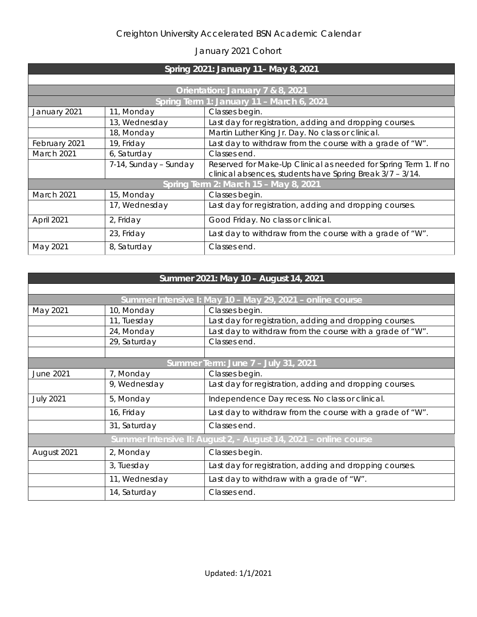## Creighton University Accelerated BSN Academic Calendar

## January 2021 Cohort

| Spring 2021: January 11- May 8, 2021      |                       |                                                                                                                               |  |  |
|-------------------------------------------|-----------------------|-------------------------------------------------------------------------------------------------------------------------------|--|--|
|                                           |                       |                                                                                                                               |  |  |
| Orientation: January 7 & 8, 2021          |                       |                                                                                                                               |  |  |
| Spring Term 1: January 11 - March 6, 2021 |                       |                                                                                                                               |  |  |
| January 2021                              | 11, Monday            | Classes begin.                                                                                                                |  |  |
|                                           | 13, Wednesday         | Last day for registration, adding and dropping courses.                                                                       |  |  |
|                                           | 18, Monday            | Martin Luther King Jr. Day. No class or clinical.                                                                             |  |  |
| February 2021                             | 19, Friday            | Last day to withdraw from the course with a grade of "W".                                                                     |  |  |
| March 2021                                | 6, Saturday           | Classes end.                                                                                                                  |  |  |
|                                           | 7-14, Sunday - Sunday | Reserved for Make-Up Clinical as needed for Spring Term 1. If no<br>clinical absences, students have Spring Break 3/7 - 3/14. |  |  |
| Spring Term 2: March 15 - May 8, 2021     |                       |                                                                                                                               |  |  |
| March 2021                                | 15, Monday            | Classes begin.                                                                                                                |  |  |
|                                           | 17, Wednesday         | Last day for registration, adding and dropping courses.                                                                       |  |  |
| April 2021                                | 2, Friday             | Good Friday. No class or clinical.                                                                                            |  |  |
|                                           | 23, Friday            | Last day to withdraw from the course with a grade of "W".                                                                     |  |  |
| May 2021                                  | 8, Saturday           | Classes end.                                                                                                                  |  |  |

| Summer 2021: May 10 - August 14, 2021                            |               |                                                           |  |  |
|------------------------------------------------------------------|---------------|-----------------------------------------------------------|--|--|
|                                                                  |               |                                                           |  |  |
| Summer Intensive I: May 10 - May 29, 2021 - online course        |               |                                                           |  |  |
| May 2021                                                         | 10, Monday    | Classes begin.                                            |  |  |
|                                                                  | 11, Tuesday   | Last day for registration, adding and dropping courses.   |  |  |
|                                                                  | 24, Monday    | Last day to withdraw from the course with a grade of "W". |  |  |
|                                                                  | 29, Saturday  | Classes end.                                              |  |  |
|                                                                  |               |                                                           |  |  |
| Summer Term: June 7 - July 31, 2021                              |               |                                                           |  |  |
| <b>June 2021</b>                                                 | 7, Monday     | Classes begin.                                            |  |  |
|                                                                  | 9, Wednesday  | Last day for registration, adding and dropping courses.   |  |  |
| <b>July 2021</b>                                                 | 5, Monday     | Independence Day recess. No class or clinical.            |  |  |
|                                                                  | 16, Friday    | Last day to withdraw from the course with a grade of "W". |  |  |
|                                                                  | 31, Saturday  | Classes end.                                              |  |  |
| Summer Intensive II: August 2, - August 14, 2021 - online course |               |                                                           |  |  |
| August 2021                                                      | 2, Monday     | Classes begin.                                            |  |  |
|                                                                  | 3, Tuesday    | Last day for registration, adding and dropping courses.   |  |  |
|                                                                  | 11, Wednesday | Last day to withdraw with a grade of "W".                 |  |  |
|                                                                  | 14, Saturday  | Classes end.                                              |  |  |